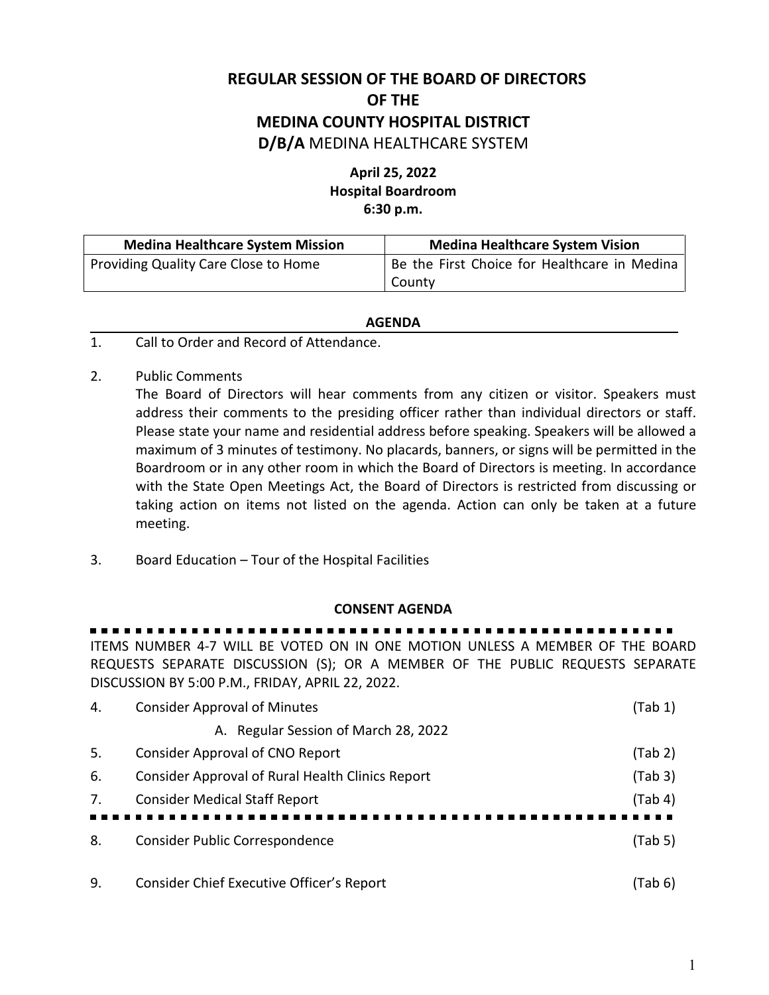## **REGULAR SESSION OF THE BOARD OF DIRECTORS OF THE MEDINA COUNTY HOSPITAL DISTRICT D/B/A** MEDINA HEALTHCARE SYSTEM

## **April 25, 2022 Hospital Boardroom 6:30 p.m.**

| <b>Medina Healthcare System Mission</b> | <b>Medina Healthcare System Vision</b>       |
|-----------------------------------------|----------------------------------------------|
| Providing Quality Care Close to Home    | Be the First Choice for Healthcare in Medina |
|                                         | County                                       |

## **AGENDA**

- 1. Call to Order and Record of Attendance.
- 2. Public Comments

The Board of Directors will hear comments from any citizen or visitor. Speakers must address their comments to the presiding officer rather than individual directors or staff. Please state your name and residential address before speaking. Speakers will be allowed a maximum of 3 minutes of testimony. No placards, banners, or signs will be permitted in the Boardroom or in any other room in which the Board of Directors is meeting. In accordance with the State Open Meetings Act, the Board of Directors is restricted from discussing or taking action on items not listed on the agenda. Action can only be taken at a future meeting.

3. Board Education – Tour of the Hospital Facilities

## **CONSENT AGENDA**

. . . . . . . . . ITEMS NUMBER 4-7 WILL BE VOTED ON IN ONE MOTION UNLESS A MEMBER OF THE BOARD REQUESTS SEPARATE DISCUSSION (S); OR A MEMBER OF THE PUBLIC REQUESTS SEPARATE DISCUSSION BY 5:00 P.M., FRIDAY, APRIL 22, 2022.

| 4. | <b>Consider Approval of Minutes</b>              | (Tab 1) |
|----|--------------------------------------------------|---------|
|    | A. Regular Session of March 28, 2022             |         |
| 5. | <b>Consider Approval of CNO Report</b>           | (Tab 2) |
| 6. | Consider Approval of Rural Health Clinics Report | (Tab 3) |
| 7. | <b>Consider Medical Staff Report</b>             | (Tab 4) |
|    |                                                  |         |
| 8. | Consider Public Correspondence                   | (Tab 5) |
| 9. | Consider Chief Executive Officer's Report        | (Tab 6) |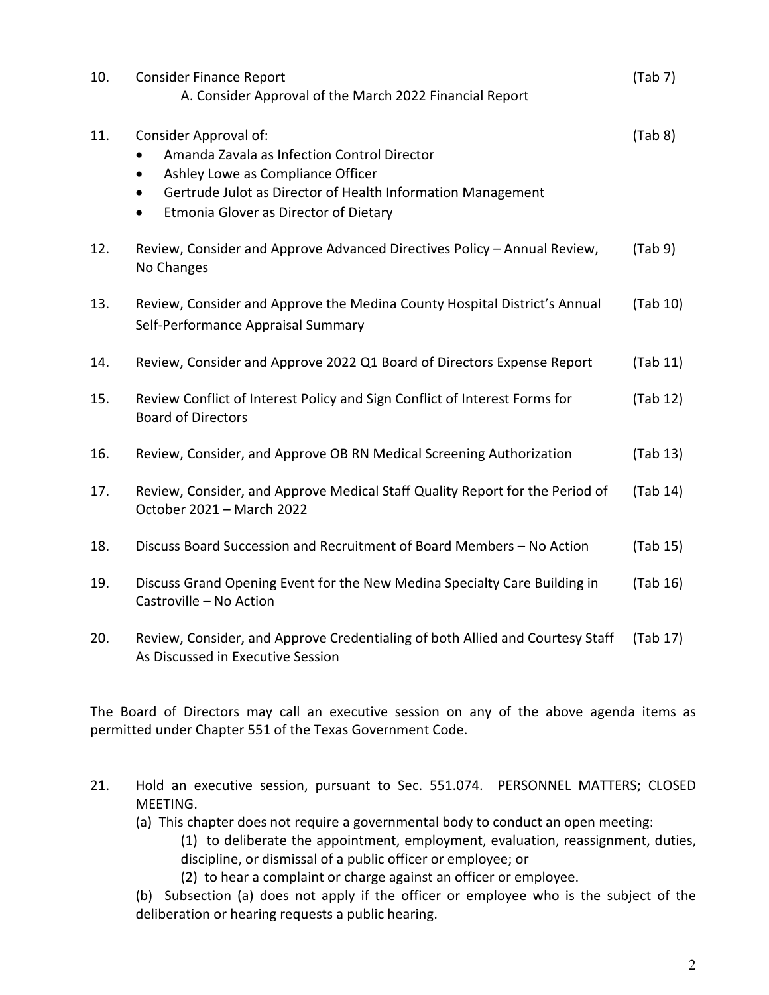| 10. | <b>Consider Finance Report</b><br>A. Consider Approval of the March 2022 Financial Report                                                                                                                                                                | (Tab 7)  |
|-----|----------------------------------------------------------------------------------------------------------------------------------------------------------------------------------------------------------------------------------------------------------|----------|
| 11. | Consider Approval of:<br>Amanda Zavala as Infection Control Director<br>Ashley Lowe as Compliance Officer<br>$\bullet$<br>Gertrude Julot as Director of Health Information Management<br>$\bullet$<br>Etmonia Glover as Director of Dietary<br>$\bullet$ | (Tab 8)  |
| 12. | Review, Consider and Approve Advanced Directives Policy - Annual Review,<br>No Changes                                                                                                                                                                   | (Tab 9)  |
| 13. | Review, Consider and Approve the Medina County Hospital District's Annual<br>Self-Performance Appraisal Summary                                                                                                                                          | (Tab 10) |
| 14. | Review, Consider and Approve 2022 Q1 Board of Directors Expense Report                                                                                                                                                                                   | (Tab 11) |
| 15. | Review Conflict of Interest Policy and Sign Conflict of Interest Forms for<br><b>Board of Directors</b>                                                                                                                                                  | (Tab 12) |
| 16. | Review, Consider, and Approve OB RN Medical Screening Authorization                                                                                                                                                                                      | (Tab 13) |
| 17. | Review, Consider, and Approve Medical Staff Quality Report for the Period of<br>October 2021 - March 2022                                                                                                                                                | (Tab 14) |
| 18. | Discuss Board Succession and Recruitment of Board Members - No Action                                                                                                                                                                                    | (Tab 15) |
| 19. | Discuss Grand Opening Event for the New Medina Specialty Care Building in<br>Castroville - No Action                                                                                                                                                     | (Tab 16) |
| 20. | Review, Consider, and Approve Credentialing of both Allied and Courtesy Staff<br>As Discussed in Executive Session                                                                                                                                       | (Tab 17) |

The Board of Directors may call an executive session on any of the above agenda items as permitted under Chapter 551 of the Texas Government Code.

- 21. Hold an executive session, pursuant to Sec. 551.074. PERSONNEL MATTERS; CLOSED MEETING.
	- (a) This chapter does not require a governmental body to conduct an open meeting:
		- (1) to deliberate the appointment, employment, evaluation, reassignment, duties, discipline, or dismissal of a public officer or employee; or
		- (2) to hear a complaint or charge against an officer or employee.

(b) Subsection (a) does not apply if the officer or employee who is the subject of the deliberation or hearing requests a public hearing.